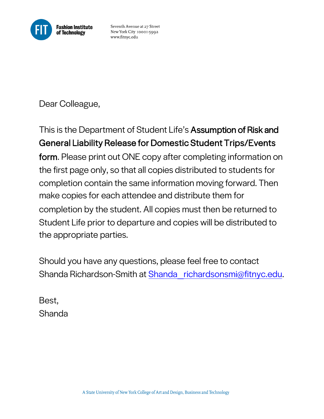

Seventh Avenue at 27 Street New York City 10001-5992 www.fitnyc.edu

Dear Colleague,

This is the Department of Student Life's Assumption of Risk and General Liability Release for Domestic Student Trips/Events form. Please print out ONE copy after completing information on the first page only, so that all copies distributed to students for completion contain the same information moving forward. Then make copies for each attendee and distribute them for completion by the student. All copies must then be returned to Student Life prior to departure and copies will be distributed to the appropriate parties.

Should you have any questions, please feel free to contact Shanda Richardson-Smith at Shanda\_richardsonsmi@fitnyc.edu.

Best, Shanda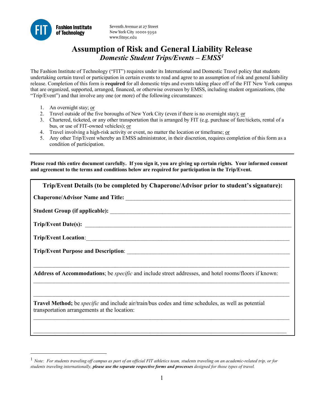

Seventh Avenue at 27 Street New York City 10001-5992 www.fitnyc.edu

# **Assumption of Risk and General Liability Release**   *Domestic Student Trips/Events – EMSS1*

 The Fashion Institute of Technology ("FIT") requires under its International and Domestic Travel policy that students undertaking certain travel or participation in certain events to read and agree to an assumption of risk and general liability release. Completion of this form is **required** for all domestic trips and events taking place off of the FIT New York campus that are organized, supported, arranged, financed, or otherwise overseen by EMSS, including student organizations, (the "Trip/Event") and that involve any one (or more) of the following circumstances:

1. An overnight stay; or

 $\overline{a}$ 

- 2. Travel outside of the five boroughs of New York City (even if there is no overnight stay); or
- 3. Chartered, ticketed, or any other transportation that is arranged by FIT (e.g. purchase of fare/tickets, rental of a bus, or use of FIT-owned vehicles); or
- 4. Travel involving a high-risk activity or event, no matter the location or timeframe; or
- 5. Any other Trip/Event whereby an EMSS administrator, in their discretion, requires completion of this form as a condition of participation.

 **Please read this entire document carefully. If you sign it, you are giving up certain rights. Your informed consent and agreement to the terms and conditions below are required for participation in the Trip/Event.** 

| Trip/Event Details (to be completed by Chaperone/Advisor prior to student's signature):                                                                           |  |  |  |  |
|-------------------------------------------------------------------------------------------------------------------------------------------------------------------|--|--|--|--|
|                                                                                                                                                                   |  |  |  |  |
|                                                                                                                                                                   |  |  |  |  |
|                                                                                                                                                                   |  |  |  |  |
|                                                                                                                                                                   |  |  |  |  |
|                                                                                                                                                                   |  |  |  |  |
|                                                                                                                                                                   |  |  |  |  |
| Address of Accommodations; be <i>specific</i> and include street addresses, and hotel rooms/floors if known:                                                      |  |  |  |  |
|                                                                                                                                                                   |  |  |  |  |
| <b>Travel Method;</b> be <i>specific</i> and include air/train/bus codes and time schedules, as well as potential<br>transportation arrangements at the location: |  |  |  |  |
|                                                                                                                                                                   |  |  |  |  |

<sup>&</sup>lt;sup>1</sup> Note: For students traveling off campus as part of an official FIT athletics team, students traveling on an academic-related trip, or for  *students traveling internationally, please use the separate respective forms and processes designed for those types of travel.*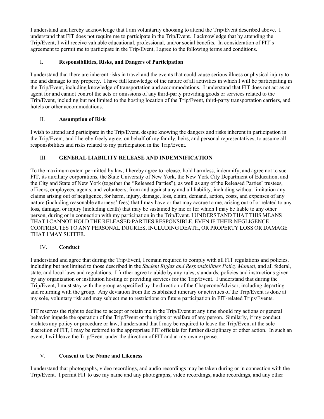I understand and hereby acknowledge that I am voluntarily choosing to attend the Trip/Event described above. I understand that FIT does not require me to participate in the Trip/Event. I acknowledge that by attending the Trip/Event, I will receive valuable educational, professional, and/or social benefits. In consideration of FIT's agreement to permit me to participate in the Trip/Event, I agree to the following terms and conditions.

## I. **Responsibilities, Risks, and Dangers of Participation**

 I understand that there are inherent risks in travel and the events that could cause serious illness or physical injury to me and damage to my property. I have full knowledge of the nature of all activities in which I will be participating in agent for and cannot control the acts or omissions of any third-party providing goods or services related to the the Trip/Event, including knowledge of transportation and accommodations. I understand that FIT does not act as an Trip/Event, including but not limited to the hosting location of the Trip/Event, third-party transportation carriers, and hotels or other accommodations.

### II. **Assumption of Risk**

 the Trip/Event, and I hereby freely agree, on behalf of my family, heirs, and personal representatives, to assume all I wish to attend and participate in the Trip/Event, despite knowing the dangers and risks inherent in participation in responsibilities and risks related to my participation in the Trip/Event.

### III. **GENERAL LIABILITY RELEASE AND INDEMNIFICATION**

 To the maximum extent permitted by law, I hereby agree to release, hold harmless, indemnify, and agree not to sue nature (including reasonable attorneys' fees) that I may have or that may accrue to me, arising out of or related to any person, during or in connection with my participation in the Trip/Event. I UNDERSTAND THAT THIS MEANS THAT I CANNOT HOLD THE RELEASED PARTIES RESPONSIBLE, EVEN IF THEIR NEGLIGENCE CONTRIBUTES TO ANY PERSONAL INJURIES, INCLUDING DEATH, OR PROPERTY LOSS OR DAMAGE THAT I MAY SUFFER. FIT, its auxiliary corporations, the State University of New York, the New York City Department of Education, and the City and State of New York (together the "Released Parties"), as well as any of the Released Parties' trustees, officers, employees, agents, and volunteers, from and against any and all liability, including without limitation any claims arising out of negligence, for harm, injury, damage, loss, claim, demand, action, costs, and expenses of any loss, damage, or injury (including death) that may be sustained by me or for which I may be liable to any other

## IV. **Conduct**

 I understand and agree that during the Trip/Event, I remain required to comply with all FIT regulations and policies, and returning with the group. Any deviation from the established itinerary or activities of the Trip/Event is done at including but not limited to those described in the *Student Rights and Responsibilities Policy Manual*, and all federal, state, and local laws and regulations. I further agree to abide by any rules, standards, policies and instructions given by any organization or institution hosting or providing services for the Trip/Event. I understand that during the Trip/Event, I must stay with the group as specified by the direction of the Chaperone/Advisor, including departing my sole, voluntary risk and may subject me to restrictions on future participation in FIT-related Trips/Events.

 FIT reserves the right to decline to accept or retain me in the Trip/Event at any time should my actions or general violates any policy or procedure or law, I understand that I may be required to leave the Trip/Event at the sole behavior impede the operation of the Trip/Event or the rights or welfare of any person. Similarly, if my conduct discretion of FIT, I may be referred to the appropriate FIT officials for further disciplinary or other action. In such an event, I will leave the Trip/Event under the direction of FIT and at my own expense.

#### V. **Consent to Use Name and Likeness**

I understand that photographs, video recordings, and audio recordings may be taken during or in connection with the Trip/Event. I permit FIT to use my name and any photographs, video recordings, audio recordings, and any other